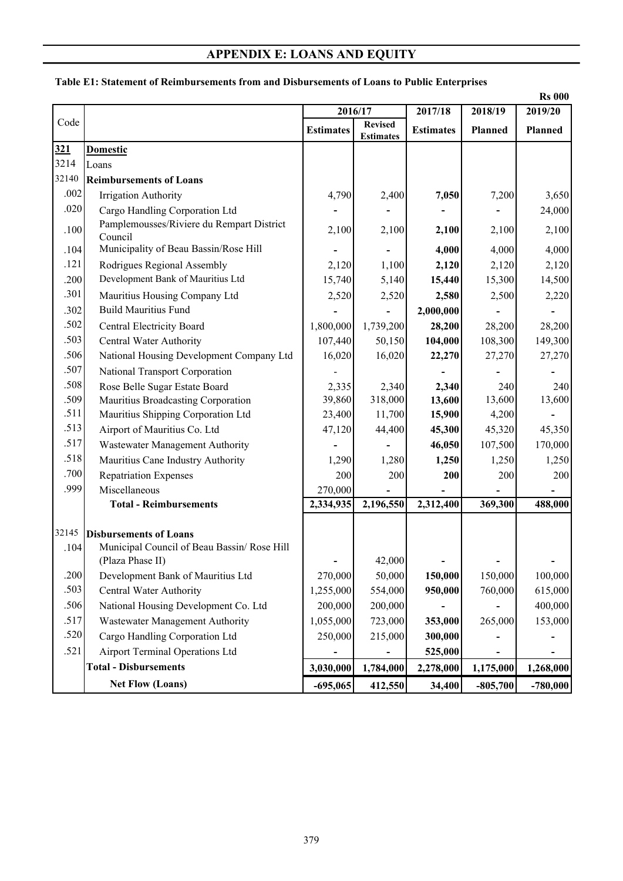## **APPENDIX E: LOANS AND EQUITY**

|                              | <b>Rs 000</b>                               |                  |                                    |                  |            |            |  |  |  |
|------------------------------|---------------------------------------------|------------------|------------------------------------|------------------|------------|------------|--|--|--|
|                              |                                             |                  | 2016/17                            | 2017/18          | 2018/19    | 2019/20    |  |  |  |
| Code                         |                                             | <b>Estimates</b> | <b>Revised</b><br><b>Estimates</b> | <b>Estimates</b> | Planned    | Planned    |  |  |  |
| 321                          | <b>Domestic</b>                             |                  |                                    |                  |            |            |  |  |  |
| 3214                         | Loans                                       |                  |                                    |                  |            |            |  |  |  |
| 32140                        | <b>Reimbursements of Loans</b>              |                  |                                    |                  |            |            |  |  |  |
| .002                         | Irrigation Authority                        | 4,790            | 2,400                              | 7,050            | 7,200      | 3,650      |  |  |  |
| .020                         | Cargo Handling Corporation Ltd              |                  |                                    |                  |            | 24,000     |  |  |  |
| .100                         | Pamplemousses/Riviere du Rempart District   | 2,100            | 2,100                              | 2,100            | 2,100      | 2,100      |  |  |  |
|                              | Council                                     |                  |                                    |                  |            |            |  |  |  |
| .104                         | Municipality of Beau Bassin/Rose Hill       |                  |                                    | 4,000            | 4,000      | 4,000      |  |  |  |
| .121                         | Rodrigues Regional Assembly                 | 2,120            | 1,100                              | 2,120            | 2,120      | 2,120      |  |  |  |
| .200                         | Development Bank of Mauritius Ltd           | 15,740           | 5,140                              | 15,440           | 15,300     | 14,500     |  |  |  |
| .301                         | Mauritius Housing Company Ltd               | 2,520            | 2,520                              | 2,580            | 2,500      | 2,220      |  |  |  |
| .302                         | <b>Build Mauritius Fund</b>                 |                  |                                    | 2,000,000        |            |            |  |  |  |
| .502                         | Central Electricity Board                   | 1,800,000        | 1,739,200                          | 28,200           | 28,200     | 28,200     |  |  |  |
| .503                         | Central Water Authority                     | 107,440          | 50,150                             | 104,000          | 108,300    | 149,300    |  |  |  |
| .506                         | National Housing Development Company Ltd    | 16,020           | 16,020                             | 22,270           | 27,270     | 27,270     |  |  |  |
| .507                         | National Transport Corporation              |                  |                                    |                  |            |            |  |  |  |
| .508                         | Rose Belle Sugar Estate Board               | 2,335            | 2,340                              | 2,340            | 240        | 240        |  |  |  |
| .509                         | Mauritius Broadcasting Corporation          | 39,860           | 318,000                            | 13,600           | 13,600     | 13,600     |  |  |  |
| .511                         | Mauritius Shipping Corporation Ltd          | 23,400           | 11,700                             | 15,900           | 4,200      |            |  |  |  |
| .513                         | Airport of Mauritius Co. Ltd                | 47,120           | 44,400                             | 45,300           | 45,320     | 45,350     |  |  |  |
| .517                         | Wastewater Management Authority             |                  |                                    | 46,050           | 107,500    | 170,000    |  |  |  |
| .518                         | Mauritius Cane Industry Authority           | 1,290            | 1,280                              | 1,250            | 1,250      | 1,250      |  |  |  |
| .700                         | <b>Repatriation Expenses</b>                | 200              | 200                                | 200              | 200        | 200        |  |  |  |
| .999                         | Miscellaneous                               | 270,000          |                                    |                  |            |            |  |  |  |
|                              | <b>Total - Reimbursements</b>               | 2,334,935        | 2,196,550                          | 2,312,400        | 369,300    | 488,000    |  |  |  |
| 32145                        | <b>Disbursements of Loans</b>               |                  |                                    |                  |            |            |  |  |  |
| .104                         | Municipal Council of Beau Bassin/ Rose Hill |                  |                                    |                  |            |            |  |  |  |
|                              | (Plaza Phase II)                            |                  | 42,000                             |                  |            |            |  |  |  |
| .200                         | Development Bank of Mauritius Ltd           | 270,000          | 50,000                             | 150,000          | 150,000    | 100,000    |  |  |  |
| .503                         | Central Water Authority                     | 1,255,000        | 554,000                            | 950,000          | 760,000    | 615,000    |  |  |  |
| .506                         | National Housing Development Co. Ltd        | 200,000          | 200,000                            |                  |            | 400,000    |  |  |  |
| .517                         | Wastewater Management Authority             | 1,055,000        | 723,000                            | 353,000          | 265,000    | 153,000    |  |  |  |
| .520                         | Cargo Handling Corporation Ltd              | 250,000          | 215,000                            | 300,000          |            |            |  |  |  |
| .521                         | <b>Airport Terminal Operations Ltd</b>      |                  |                                    | 525,000          |            |            |  |  |  |
| <b>Total - Disbursements</b> |                                             | 3,030,000        | 1,784,000                          | 2,278,000        | 1,175,000  | 1,268,000  |  |  |  |
|                              | <b>Net Flow (Loans)</b>                     | $-695,065$       | 412,550                            | 34,400           | $-805,700$ | $-780,000$ |  |  |  |

## **Table E1: Statement of Reimbursements from and Disbursements of Loans to Public Enterprises**